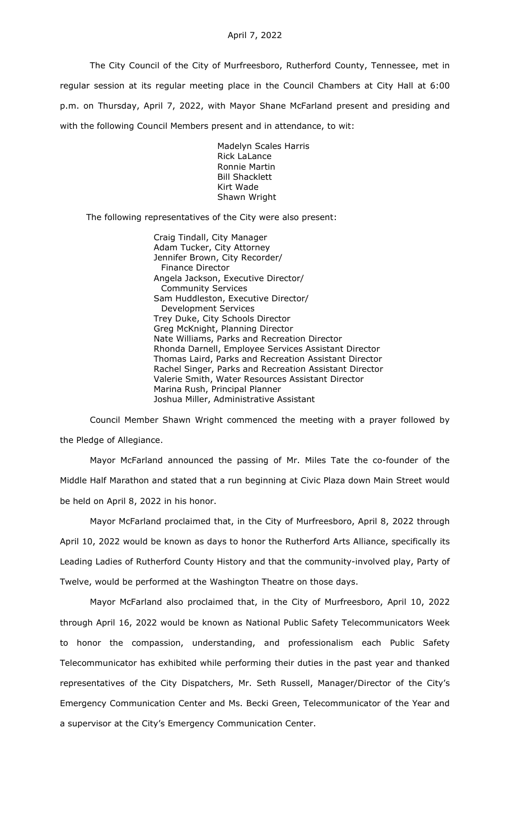The City Council of the City of Murfreesboro, Rutherford County, Tennessee, met in regular session at its regular meeting place in the Council Chambers at City Hall at 6:00 p.m. on Thursday, April 7, 2022, with Mayor Shane McFarland present and presiding and with the following Council Members present and in attendance, to wit:

> Madelyn Scales Harris Rick LaLance Ronnie Martin Bill Shacklett Kirt Wade Shawn Wright

The following representatives of the City were also present:

Craig Tindall, City Manager Adam Tucker, City Attorney Jennifer Brown, City Recorder/ Finance Director Angela Jackson, Executive Director/ Community Services Sam Huddleston, Executive Director/ Development Services Trey Duke, City Schools Director Greg McKnight, Planning Director Nate Williams, Parks and Recreation Director Rhonda Darnell, Employee Services Assistant Director Thomas Laird, Parks and Recreation Assistant Director Rachel Singer, Parks and Recreation Assistant Director Valerie Smith, Water Resources Assistant Director Marina Rush, Principal Planner Joshua Miller, Administrative Assistant

Council Member Shawn Wright commenced the meeting with a prayer followed by the Pledge of Allegiance.

Mayor McFarland announced the passing of Mr. Miles Tate the co-founder of the Middle Half Marathon and stated that a run beginning at Civic Plaza down Main Street would be held on April 8, 2022 in his honor.

Mayor McFarland proclaimed that, in the City of Murfreesboro, April 8, 2022 through April 10, 2022 would be known as days to honor the Rutherford Arts Alliance, specifically its Leading Ladies of Rutherford County History and that the community-involved play, Party of Twelve, would be performed at the Washington Theatre on those days.

Mayor McFarland also proclaimed that, in the City of Murfreesboro, April 10, 2022 through April 16, 2022 would be known as National Public Safety Telecommunicators Week to honor the compassion, understanding, and professionalism each Public Safety Telecommunicator has exhibited while performing their duties in the past year and thanked representatives of the City Dispatchers, Mr. Seth Russell, Manager/Director of the City's Emergency Communication Center and Ms. Becki Green, Telecommunicator of the Year and a supervisor at the City's Emergency Communication Center.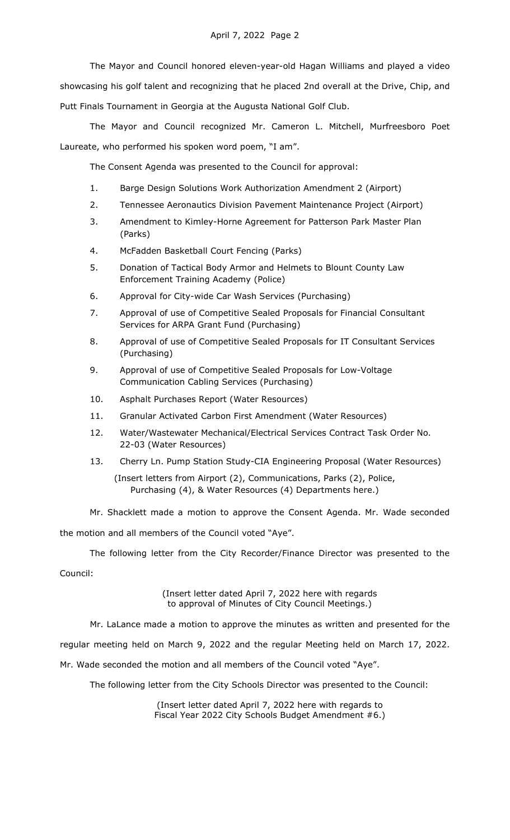The Mayor and Council honored eleven-year-old Hagan Williams and played a video showcasing his golf talent and recognizing that he placed 2nd overall at the Drive, Chip, and Putt Finals Tournament in Georgia at the Augusta National Golf Club.

The Mayor and Council recognized Mr. Cameron L. Mitchell, Murfreesboro Poet Laureate, who performed his spoken word poem, "I am".

The Consent Agenda was presented to the Council for approval:

- 1. Barge Design Solutions Work Authorization Amendment 2 (Airport)
- 2. Tennessee Aeronautics Division Pavement Maintenance Project (Airport)
- 3. Amendment to Kimley-Horne Agreement for Patterson Park Master Plan (Parks)
- 4. McFadden Basketball Court Fencing (Parks)
- 5. Donation of Tactical Body Armor and Helmets to Blount County Law Enforcement Training Academy (Police)
- 6. Approval for City-wide Car Wash Services (Purchasing)
- 7. Approval of use of Competitive Sealed Proposals for Financial Consultant Services for ARPA Grant Fund (Purchasing)
- 8. Approval of use of Competitive Sealed Proposals for IT Consultant Services (Purchasing)
- 9. Approval of use of Competitive Sealed Proposals for Low-Voltage Communication Cabling Services (Purchasing)
- 10. Asphalt Purchases Report (Water Resources)
- 11. Granular Activated Carbon First Amendment (Water Resources)
- 12. Water/Wastewater Mechanical/Electrical Services Contract Task Order No. 22-03 (Water Resources)
- 13. Cherry Ln. Pump Station Study-CIA Engineering Proposal (Water Resources)

(Insert letters from Airport (2), Communications, Parks (2), Police, Purchasing (4), & Water Resources (4) Departments here.)

Mr. Shacklett made a motion to approve the Consent Agenda. Mr. Wade seconded

the motion and all members of the Council voted "Aye".

The following letter from the City Recorder/Finance Director was presented to the Council:

> (Insert letter dated April 7, 2022 here with regards to approval of Minutes of City Council Meetings.)

Mr. LaLance made a motion to approve the minutes as written and presented for the regular meeting held on March 9, 2022 and the regular Meeting held on March 17, 2022. Mr. Wade seconded the motion and all members of the Council voted "Aye".

The following letter from the City Schools Director was presented to the Council:

(Insert letter dated April 7, 2022 here with regards to Fiscal Year 2022 City Schools Budget Amendment #6.)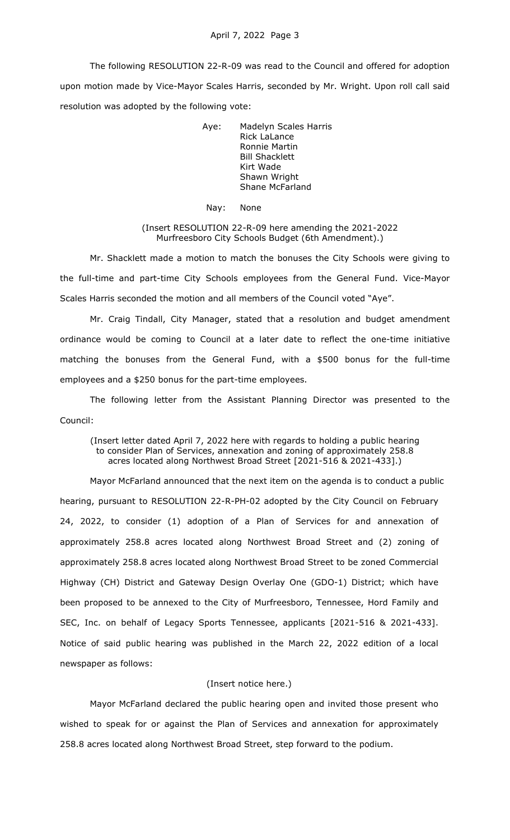The following RESOLUTION 22-R-09 was read to the Council and offered for adoption upon motion made by Vice-Mayor Scales Harris, seconded by Mr. Wright. Upon roll call said resolution was adopted by the following vote:

> Aye: Madelyn Scales Harris Rick LaLance Ronnie Martin Bill Shacklett Kirt Wade Shawn Wright Shane McFarland

Nay: None

(Insert RESOLUTION 22-R-09 here amending the 2021-2022 Murfreesboro City Schools Budget (6th Amendment).)

Mr. Shacklett made a motion to match the bonuses the City Schools were giving to the full-time and part-time City Schools employees from the General Fund. Vice-Mayor Scales Harris seconded the motion and all members of the Council voted "Aye".

Mr. Craig Tindall, City Manager, stated that a resolution and budget amendment ordinance would be coming to Council at a later date to reflect the one-time initiative matching the bonuses from the General Fund, with a \$500 bonus for the full-time employees and a \$250 bonus for the part-time employees.

The following letter from the Assistant Planning Director was presented to the Council:

(Insert letter dated April 7, 2022 here with regards to holding a public hearing to consider Plan of Services, annexation and zoning of approximately 258.8 acres located along Northwest Broad Street [2021-516 & 2021-433].)

Mayor McFarland announced that the next item on the agenda is to conduct a public hearing, pursuant to RESOLUTION 22-R-PH-02 adopted by the City Council on February 24, 2022, to consider (1) adoption of a Plan of Services for and annexation of approximately 258.8 acres located along Northwest Broad Street and (2) zoning of approximately 258.8 acres located along Northwest Broad Street to be zoned Commercial Highway (CH) District and Gateway Design Overlay One (GDO-1) District; which have been proposed to be annexed to the City of Murfreesboro, Tennessee, Hord Family and SEC, Inc. on behalf of Legacy Sports Tennessee, applicants [2021-516 & 2021-433]. Notice of said public hearing was published in the March 22, 2022 edition of a local newspaper as follows:

# (Insert notice here.)

Mayor McFarland declared the public hearing open and invited those present who wished to speak for or against the Plan of Services and annexation for approximately 258.8 acres located along Northwest Broad Street, step forward to the podium.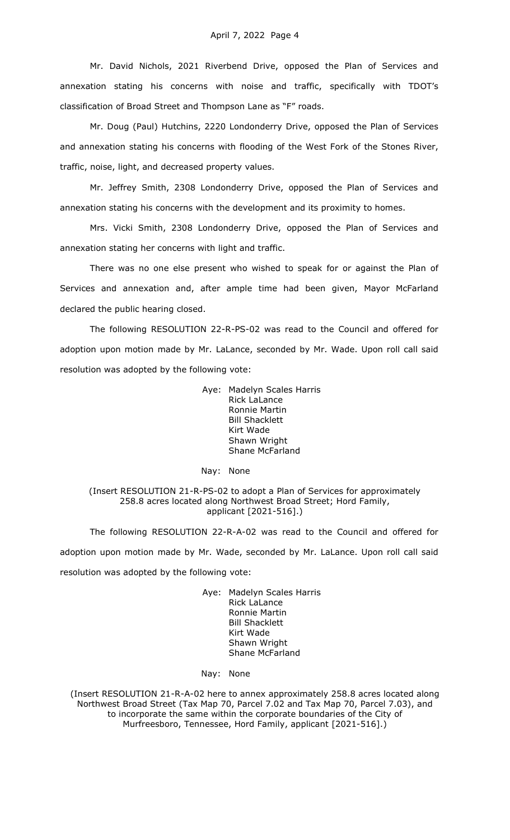Mr. David Nichols, 2021 Riverbend Drive, opposed the Plan of Services and annexation stating his concerns with noise and traffic, specifically with TDOT's classification of Broad Street and Thompson Lane as "F" roads.

Mr. Doug (Paul) Hutchins, 2220 Londonderry Drive, opposed the Plan of Services and annexation stating his concerns with flooding of the West Fork of the Stones River, traffic, noise, light, and decreased property values.

Mr. Jeffrey Smith, 2308 Londonderry Drive, opposed the Plan of Services and annexation stating his concerns with the development and its proximity to homes.

Mrs. Vicki Smith, 2308 Londonderry Drive, opposed the Plan of Services and annexation stating her concerns with light and traffic.

There was no one else present who wished to speak for or against the Plan of Services and annexation and, after ample time had been given, Mayor McFarland declared the public hearing closed.

The following RESOLUTION 22-R-PS-02 was read to the Council and offered for adoption upon motion made by Mr. LaLance, seconded by Mr. Wade. Upon roll call said resolution was adopted by the following vote:

> Aye: Madelyn Scales Harris Rick LaLance Ronnie Martin Bill Shacklett Kirt Wade Shawn Wright Shane McFarland

### Nay: None

# (Insert RESOLUTION 21-R-PS-02 to adopt a Plan of Services for approximately 258.8 acres located along Northwest Broad Street; Hord Family, applicant [2021-516].)

The following RESOLUTION 22-R-A-02 was read to the Council and offered for adoption upon motion made by Mr. Wade, seconded by Mr. LaLance. Upon roll call said resolution was adopted by the following vote:

> Aye: Madelyn Scales Harris Rick LaLance Ronnie Martin Bill Shacklett Kirt Wade Shawn Wright Shane McFarland

Nay: None

(Insert RESOLUTION 21-R-A-02 here to annex approximately 258.8 acres located along Northwest Broad Street (Tax Map 70, Parcel 7.02 and Tax Map 70, Parcel 7.03), and to incorporate the same within the corporate boundaries of the City of Murfreesboro, Tennessee, Hord Family, applicant [2021-516].)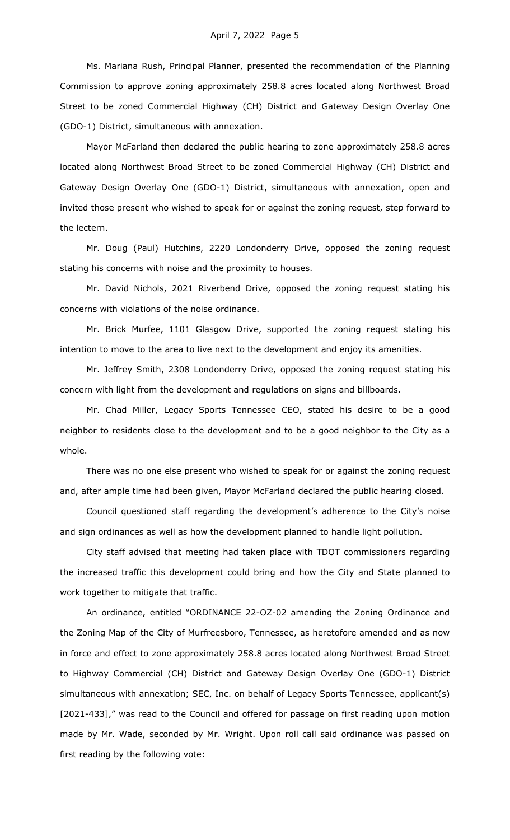Ms. Mariana Rush, Principal Planner, presented the recommendation of the Planning Commission to approve zoning approximately 258.8 acres located along Northwest Broad Street to be zoned Commercial Highway (CH) District and Gateway Design Overlay One (GDO-1) District, simultaneous with annexation.

Mayor McFarland then declared the public hearing to zone approximately 258.8 acres located along Northwest Broad Street to be zoned Commercial Highway (CH) District and Gateway Design Overlay One (GDO-1) District, simultaneous with annexation, open and invited those present who wished to speak for or against the zoning request, step forward to the lectern.

Mr. Doug (Paul) Hutchins, 2220 Londonderry Drive, opposed the zoning request stating his concerns with noise and the proximity to houses.

Mr. David Nichols, 2021 Riverbend Drive, opposed the zoning request stating his concerns with violations of the noise ordinance.

Mr. Brick Murfee, 1101 Glasgow Drive, supported the zoning request stating his intention to move to the area to live next to the development and enjoy its amenities.

Mr. Jeffrey Smith, 2308 Londonderry Drive, opposed the zoning request stating his concern with light from the development and regulations on signs and billboards.

Mr. Chad Miller, Legacy Sports Tennessee CEO, stated his desire to be a good neighbor to residents close to the development and to be a good neighbor to the City as a whole.

There was no one else present who wished to speak for or against the zoning request and, after ample time had been given, Mayor McFarland declared the public hearing closed.

Council questioned staff regarding the development's adherence to the City's noise and sign ordinances as well as how the development planned to handle light pollution.

City staff advised that meeting had taken place with TDOT commissioners regarding the increased traffic this development could bring and how the City and State planned to work together to mitigate that traffic.

An ordinance, entitled "ORDINANCE 22-OZ-02 amending the Zoning Ordinance and the Zoning Map of the City of Murfreesboro, Tennessee, as heretofore amended and as now in force and effect to zone approximately 258.8 acres located along Northwest Broad Street to Highway Commercial (CH) District and Gateway Design Overlay One (GDO-1) District simultaneous with annexation; SEC, Inc. on behalf of Legacy Sports Tennessee, applicant(s) [2021-433]," was read to the Council and offered for passage on first reading upon motion made by Mr. Wade, seconded by Mr. Wright. Upon roll call said ordinance was passed on first reading by the following vote: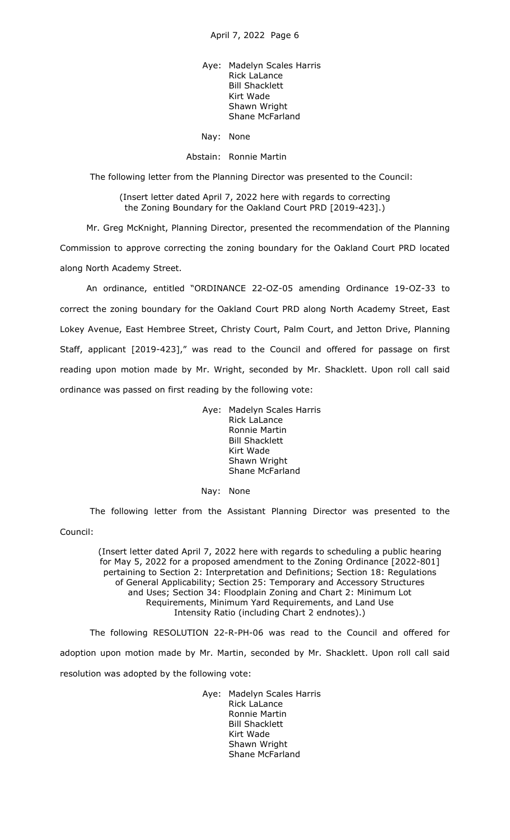Aye: Madelyn Scales Harris Rick LaLance Bill Shacklett Kirt Wade Shawn Wright Shane McFarland

Nay: None

#### Abstain: Ronnie Martin

The following letter from the Planning Director was presented to the Council:

(Insert letter dated April 7, 2022 here with regards to correcting the Zoning Boundary for the Oakland Court PRD [2019-423].)

Mr. Greg McKnight, Planning Director, presented the recommendation of the Planning Commission to approve correcting the zoning boundary for the Oakland Court PRD located along North Academy Street.

An ordinance, entitled "ORDINANCE 22-OZ-05 amending Ordinance 19-OZ-33 to correct the zoning boundary for the Oakland Court PRD along North Academy Street, East Lokey Avenue, East Hembree Street, Christy Court, Palm Court, and Jetton Drive, Planning Staff, applicant [2019-423]," was read to the Council and offered for passage on first reading upon motion made by Mr. Wright, seconded by Mr. Shacklett. Upon roll call said ordinance was passed on first reading by the following vote:

> Aye: Madelyn Scales Harris Rick LaLance Ronnie Martin Bill Shacklett Kirt Wade Shawn Wright Shane McFarland

Nay: None

The following letter from the Assistant Planning Director was presented to the

Council:

(Insert letter dated April 7, 2022 here with regards to scheduling a public hearing for May 5, 2022 for a proposed amendment to the Zoning Ordinance [2022-801] pertaining to Section 2: Interpretation and Definitions; Section 18: Regulations of General Applicability; Section 25: Temporary and Accessory Structures and Uses; Section 34: Floodplain Zoning and Chart 2: Minimum Lot Requirements, Minimum Yard Requirements, and Land Use Intensity Ratio (including Chart 2 endnotes).)

The following RESOLUTION 22-R-PH-06 was read to the Council and offered for adoption upon motion made by Mr. Martin, seconded by Mr. Shacklett. Upon roll call said resolution was adopted by the following vote:

> Aye: Madelyn Scales Harris Rick LaLance Ronnie Martin Bill Shacklett Kirt Wade Shawn Wright Shane McFarland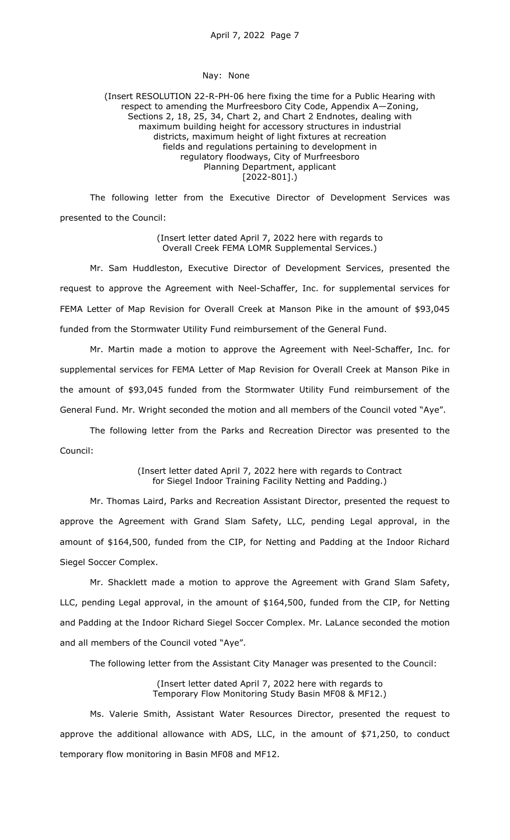### Nay: None

# (Insert RESOLUTION 22-R-PH-06 here fixing the time for a Public Hearing with respect to amending the Murfreesboro City Code, Appendix A—Zoning, Sections 2, 18, 25, 34, Chart 2, and Chart 2 Endnotes, dealing with maximum building height for accessory structures in industrial districts, maximum height of light fixtures at recreation fields and regulations pertaining to development in regulatory floodways, City of Murfreesboro Planning Department, applicant [2022-801].)

The following letter from the Executive Director of Development Services was presented to the Council:

> (Insert letter dated April 7, 2022 here with regards to Overall Creek FEMA LOMR Supplemental Services.)

Mr. Sam Huddleston, Executive Director of Development Services, presented the request to approve the Agreement with Neel-Schaffer, Inc. for supplemental services for FEMA Letter of Map Revision for Overall Creek at Manson Pike in the amount of \$93,045 funded from the Stormwater Utility Fund reimbursement of the General Fund.

Mr. Martin made a motion to approve the Agreement with Neel-Schaffer, Inc. for supplemental services for FEMA Letter of Map Revision for Overall Creek at Manson Pike in the amount of \$93,045 funded from the Stormwater Utility Fund reimbursement of the General Fund. Mr. Wright seconded the motion and all members of the Council voted "Aye".

The following letter from the Parks and Recreation Director was presented to the Council:

> (Insert letter dated April 7, 2022 here with regards to Contract for Siegel Indoor Training Facility Netting and Padding.)

Mr. Thomas Laird, Parks and Recreation Assistant Director, presented the request to approve the Agreement with Grand Slam Safety, LLC, pending Legal approval, in the amount of \$164,500, funded from the CIP, for Netting and Padding at the Indoor Richard Siegel Soccer Complex.

Mr. Shacklett made a motion to approve the Agreement with Grand Slam Safety, LLC, pending Legal approval, in the amount of \$164,500, funded from the CIP, for Netting and Padding at the Indoor Richard Siegel Soccer Complex. Mr. LaLance seconded the motion and all members of the Council voted "Aye".

The following letter from the Assistant City Manager was presented to the Council:

(Insert letter dated April 7, 2022 here with regards to Temporary Flow Monitoring Study Basin MF08 & MF12.)

Ms. Valerie Smith, Assistant Water Resources Director, presented the request to approve the additional allowance with ADS, LLC, in the amount of \$71,250, to conduct temporary flow monitoring in Basin MF08 and MF12.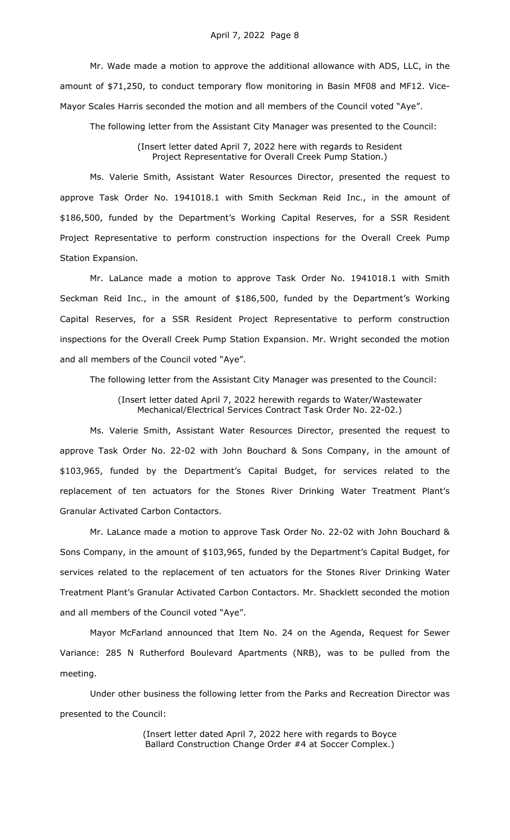Mr. Wade made a motion to approve the additional allowance with ADS, LLC, in the amount of \$71,250, to conduct temporary flow monitoring in Basin MF08 and MF12. Vice-Mayor Scales Harris seconded the motion and all members of the Council voted "Aye".

The following letter from the Assistant City Manager was presented to the Council:

(Insert letter dated April 7, 2022 here with regards to Resident Project Representative for Overall Creek Pump Station.)

Ms. Valerie Smith, Assistant Water Resources Director, presented the request to approve Task Order No. 1941018.1 with Smith Seckman Reid Inc., in the amount of \$186,500, funded by the Department's Working Capital Reserves, for a SSR Resident Project Representative to perform construction inspections for the Overall Creek Pump Station Expansion.

Mr. LaLance made a motion to approve Task Order No. 1941018.1 with Smith Seckman Reid Inc., in the amount of \$186,500, funded by the Department's Working Capital Reserves, for a SSR Resident Project Representative to perform construction inspections for the Overall Creek Pump Station Expansion. Mr. Wright seconded the motion and all members of the Council voted "Aye".

The following letter from the Assistant City Manager was presented to the Council:

(Insert letter dated April 7, 2022 herewith regards to Water/Wastewater Mechanical/Electrical Services Contract Task Order No. 22-02.)

Ms. Valerie Smith, Assistant Water Resources Director, presented the request to approve Task Order No. 22-02 with John Bouchard & Sons Company, in the amount of \$103,965, funded by the Department's Capital Budget, for services related to the replacement of ten actuators for the Stones River Drinking Water Treatment Plant's Granular Activated Carbon Contactors.

Mr. LaLance made a motion to approve Task Order No. 22-02 with John Bouchard & Sons Company, in the amount of \$103,965, funded by the Department's Capital Budget, for services related to the replacement of ten actuators for the Stones River Drinking Water Treatment Plant's Granular Activated Carbon Contactors. Mr. Shacklett seconded the motion and all members of the Council voted "Aye".

Mayor McFarland announced that Item No. 24 on the Agenda, Request for Sewer Variance: 285 N Rutherford Boulevard Apartments (NRB), was to be pulled from the meeting.

Under other business the following letter from the Parks and Recreation Director was presented to the Council:

> (Insert letter dated April 7, 2022 here with regards to Boyce Ballard Construction Change Order #4 at Soccer Complex.)